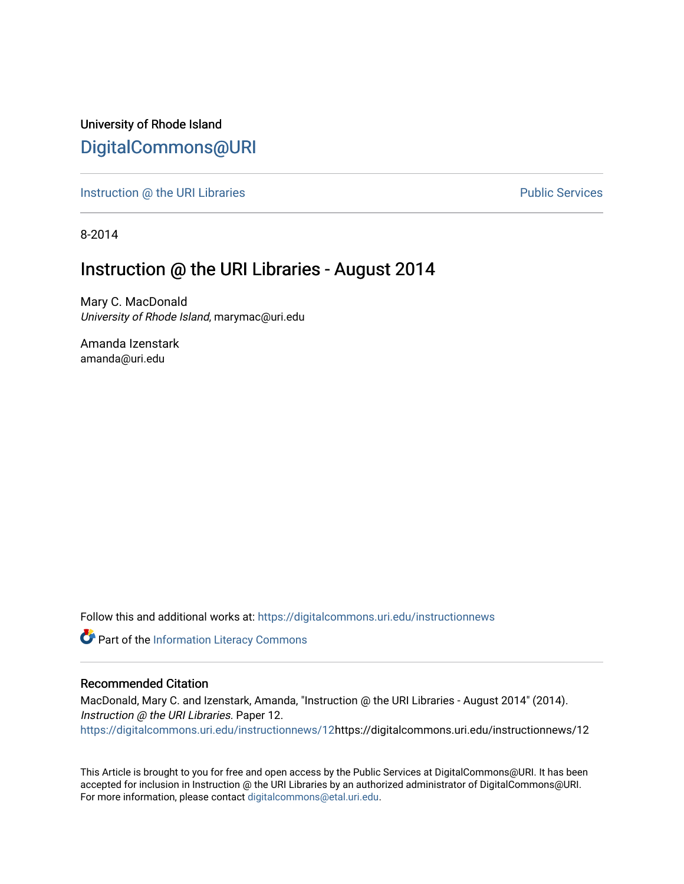University of Rhode Island [DigitalCommons@URI](https://digitalcommons.uri.edu/) 

[Instruction @ the URI Libraries](https://digitalcommons.uri.edu/instructionnews) **Public Services** Public Services

8-2014

## Instruction @ the URI Libraries - August 2014

Mary C. MacDonald University of Rhode Island, marymac@uri.edu

Amanda Izenstark amanda@uri.edu

Follow this and additional works at: [https://digitalcommons.uri.edu/instructionnews](https://digitalcommons.uri.edu/instructionnews?utm_source=digitalcommons.uri.edu%2Finstructionnews%2F12&utm_medium=PDF&utm_campaign=PDFCoverPages)

Part of the [Information Literacy Commons](http://network.bepress.com/hgg/discipline/1243?utm_source=digitalcommons.uri.edu%2Finstructionnews%2F12&utm_medium=PDF&utm_campaign=PDFCoverPages)

#### Recommended Citation

MacDonald, Mary C. and Izenstark, Amanda, "Instruction @ the URI Libraries - August 2014" (2014). Instruction @ the URI Libraries. Paper 12. [https://digitalcommons.uri.edu/instructionnews/12h](https://digitalcommons.uri.edu/instructionnews/12?utm_source=digitalcommons.uri.edu%2Finstructionnews%2F12&utm_medium=PDF&utm_campaign=PDFCoverPages)ttps://digitalcommons.uri.edu/instructionnews/12

This Article is brought to you for free and open access by the Public Services at DigitalCommons@URI. It has been accepted for inclusion in Instruction @ the URI Libraries by an authorized administrator of DigitalCommons@URI. For more information, please contact [digitalcommons@etal.uri.edu](mailto:digitalcommons@etal.uri.edu).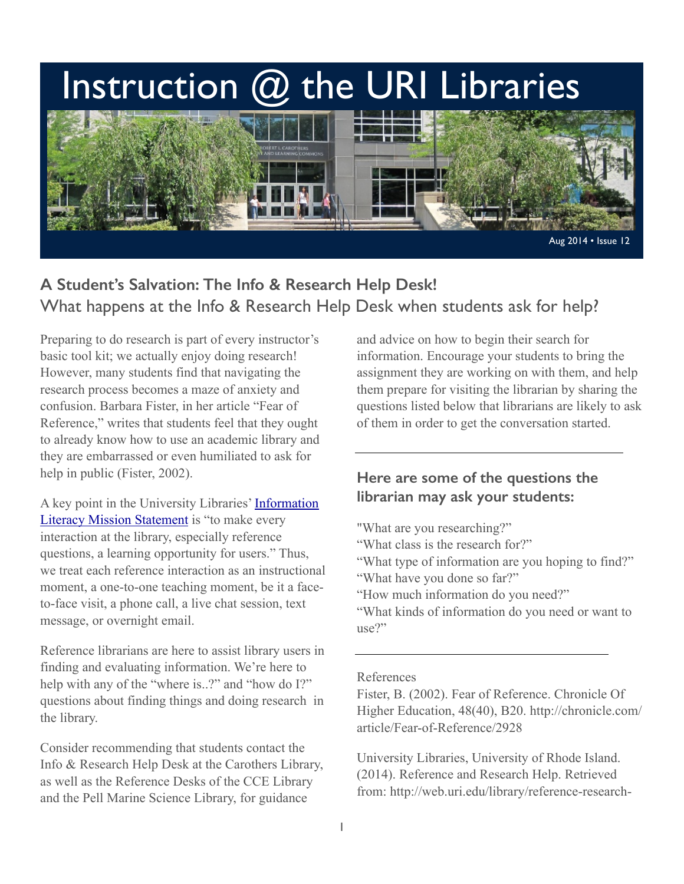# Instruction @ the URI Libraries



## **A Student's Salvation: The Info & Research Help Desk!** What happens at the Info & Research Help Desk when students ask for help?

Preparing to do research is part of every instructor's basic tool kit; we actually enjoy doing research! However, many students find that navigating the research process becomes a maze of anxiety and confusion. Barbara Fister, in her article "Fear of Reference," writes that students feel that they ought to already know how to use an academic library and they are embarrassed or even humiliated to ask for help in public (Fister, 2002).

[A key point in the University Libraries' Information](http://uri.libguides.com/instruction/ilplan)  Literacy Mission Statement is "to make every interaction at the library, especially reference questions, a learning opportunity for users." Thus, we treat each reference interaction as an instructional moment, a one-to-one teaching moment, be it a faceto-face visit, a phone call, a live chat session, text message, or overnight email.

Reference librarians are here to assist library users in finding and evaluating information. We're here to help with any of the "where is..?" and "how do I?" questions about finding things and doing research in the library.

Consider recommending that students contact the Info & Research Help Desk at the Carothers Library, as well as the Reference Desks of the CCE Library and the Pell Marine Science Library, for guidance

and advice on how to begin their search for information. Encourage your students to bring the assignment they are working on with them, and help them prepare for visiting the librarian by sharing the questions listed below that librarians are likely to ask of them in order to get the conversation started.

### **Here are some of the questions the librarian may ask your students:**

"What are you researching?"

- "What class is the research for?"
- "What type of information are you hoping to find?"
- "What have you done so far?"
- "How much information do you need?"

"What kinds of information do you need or want to use?"

#### References

Fister, B. (2002). Fear of Reference. Chronicle Of Higher Education, 48(40), B20. http://chronicle.com/ article/Fear-of-Reference/2928

University Libraries, University of Rhode Island. (2014). Reference and Research Help. Retrieved from: http://web.uri.edu/library/reference-research-